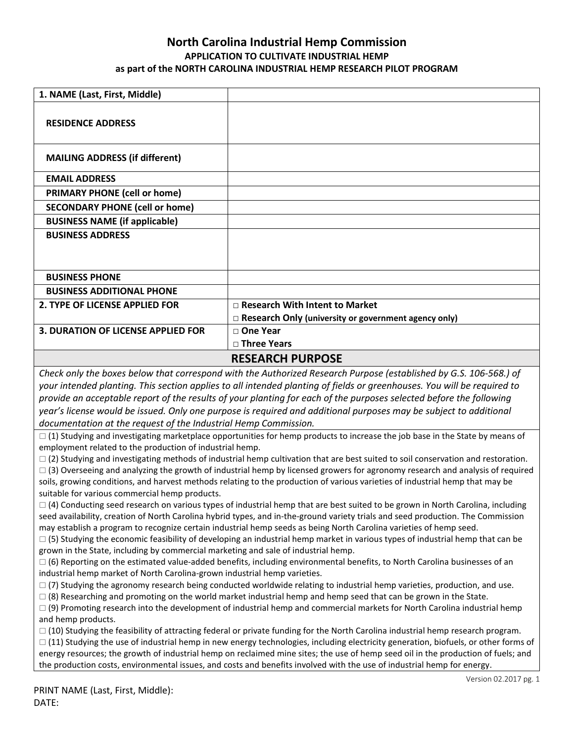## **North Carolina Industrial Hemp Commission APPLICATION TO CULTIVATE INDUSTRIAL HEMP as part of the NORTH CAROLINA INDUSTRIAL HEMP RESEARCH PILOT PROGRAM**

| 1. NAME (Last, First, Middle)             |                                                             |
|-------------------------------------------|-------------------------------------------------------------|
| <b>RESIDENCE ADDRESS</b>                  |                                                             |
| <b>MAILING ADDRESS (if different)</b>     |                                                             |
| <b>EMAIL ADDRESS</b>                      |                                                             |
| <b>PRIMARY PHONE (cell or home)</b>       |                                                             |
| <b>SECONDARY PHONE (cell or home)</b>     |                                                             |
| <b>BUSINESS NAME (if applicable)</b>      |                                                             |
| <b>BUSINESS ADDRESS</b>                   |                                                             |
|                                           |                                                             |
| <b>BUSINESS PHONE</b>                     |                                                             |
| <b>BUSINESS ADDITIONAL PHONE</b>          |                                                             |
| 2. TYPE OF LICENSE APPLIED FOR            | □ Research With Intent to Market                            |
|                                           | $\Box$ Research Only (university or government agency only) |
| <b>3. DURATION OF LICENSE APPLIED FOR</b> | □ One Year                                                  |
|                                           | □ Three Years                                               |
|                                           | <b>RESEARCH PURPOSE</b>                                     |

*Check only the boxes below that correspond with the Authorized Research Purpose (established by G.S. 106-568.) of your intended planting. This section applies to all intended planting of fields or greenhouses. You will be required to provide an acceptable report of the results of your planting for each of the purposes selected before the following year's license would be issued. Only one purpose is required and additional purposes may be subject to additional documentation at the request of the Industrial Hemp Commission.* 

 $\Box$  (1) Studying and investigating marketplace opportunities for hemp products to increase the job base in the State by means of employment related to the production of industrial hemp.

 $\Box$  (2) Studying and investigating methods of industrial hemp cultivation that are best suited to soil conservation and restoration.  $\Box$  (3) Overseeing and analyzing the growth of industrial hemp by licensed growers for agronomy research and analysis of required soils, growing conditions, and harvest methods relating to the production of various varieties of industrial hemp that may be suitable for various commercial hemp products.

 $\Box$  (4) Conducting seed research on various types of industrial hemp that are best suited to be grown in North Carolina, including seed availability, creation of North Carolina hybrid types, and in-the-ground variety trials and seed production. The Commission may establish a program to recognize certain industrial hemp seeds as being North Carolina varieties of hemp seed.

 $\Box$  (5) Studying the economic feasibility of developing an industrial hemp market in various types of industrial hemp that can be grown in the State, including by commercial marketing and sale of industrial hemp.

 $\Box$  (6) Reporting on the estimated value-added benefits, including environmental benefits, to North Carolina businesses of an industrial hemp market of North Carolina-grown industrial hemp varieties.

 $\Box$  (7) Studying the agronomy research being conducted worldwide relating to industrial hemp varieties, production, and use.

 $\Box$  (8) Researching and promoting on the world market industrial hemp and hemp seed that can be grown in the State.

 $\Box$  (9) Promoting research into the development of industrial hemp and commercial markets for North Carolina industrial hemp and hemp products.

 $\Box$  (10) Studying the feasibility of attracting federal or private funding for the North Carolina industrial hemp research program.

 $\Box$  (11) Studying the use of industrial hemp in new energy technologies, including electricity generation, biofuels, or other forms of energy resources; the growth of industrial hemp on reclaimed mine sites; the use of hemp seed oil in the production of fuels; and the production costs, environmental issues, and costs and benefits involved with the use of industrial hemp for energy.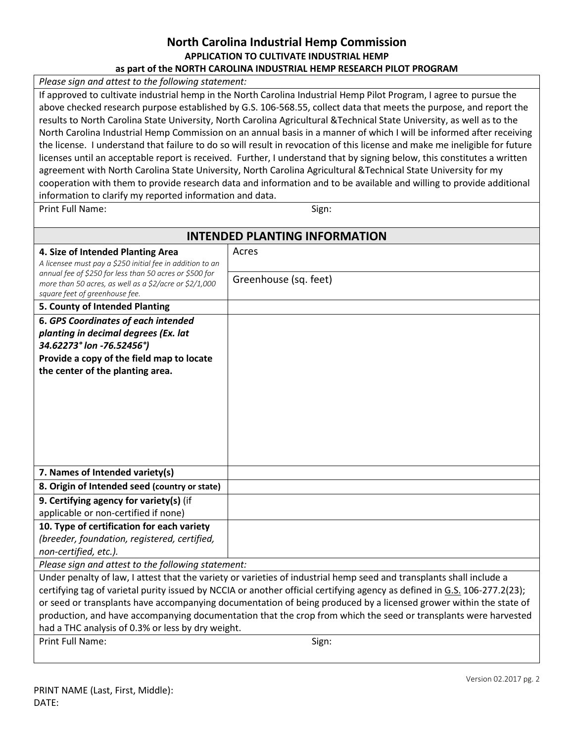### **North Carolina Industrial Hemp Commission APPLICATION TO CULTIVATE INDUSTRIAL HEMP as part of the NORTH CAROLINA INDUSTRIAL HEMP RESEARCH PILOT PROGRAM**

*Please sign and attest to the following statement:* 

If approved to cultivate industrial hemp in the North Carolina Industrial Hemp Pilot Program, I agree to pursue the above checked research purpose established by G.S. 106-568.55, collect data that meets the purpose, and report the results to North Carolina State University, North Carolina Agricultural &Technical State University, as well as to the North Carolina Industrial Hemp Commission on an annual basis in a manner of which I will be informed after receiving the license. I understand that failure to do so will result in revocation of this license and make me ineligible for future licenses until an acceptable report is received. Further, I understand that by signing below, this constitutes a written agreement with North Carolina State University, North Carolina Agricultural &Technical State University for my cooperation with them to provide research data and information and to be available and willing to provide additional information to clarify my reported information and data.

Print Full Name: Sign: Sign:

| <b>INTENDED PLANTING INFORMATION</b>                                                                                                                                           |                       |
|--------------------------------------------------------------------------------------------------------------------------------------------------------------------------------|-----------------------|
| 4. Size of Intended Planting Area                                                                                                                                              | Acres                 |
| A licensee must pay a \$250 initial fee in addition to an<br>annual fee of \$250 for less than 50 acres or \$500 for<br>more than 50 acres, as well as a \$2/acre or \$2/1,000 |                       |
|                                                                                                                                                                                | Greenhouse (sq. feet) |
| square feet of greenhouse fee.                                                                                                                                                 |                       |
| 5. County of Intended Planting                                                                                                                                                 |                       |
| <b>6. GPS Coordinates of each intended</b>                                                                                                                                     |                       |
| planting in decimal degrees (Ex. lat                                                                                                                                           |                       |
| 34.62273° lon -76.52456°)                                                                                                                                                      |                       |
| Provide a copy of the field map to locate                                                                                                                                      |                       |
| the center of the planting area.                                                                                                                                               |                       |
|                                                                                                                                                                                |                       |
|                                                                                                                                                                                |                       |
|                                                                                                                                                                                |                       |
|                                                                                                                                                                                |                       |
|                                                                                                                                                                                |                       |
|                                                                                                                                                                                |                       |
| 7. Names of Intended variety(s)                                                                                                                                                |                       |
| 8. Origin of Intended seed (country or state)                                                                                                                                  |                       |
| 9. Certifying agency for variety(s) (if                                                                                                                                        |                       |
| applicable or non-certified if none)                                                                                                                                           |                       |
| 10. Type of certification for each variety                                                                                                                                     |                       |
| (breeder, foundation, registered, certified,                                                                                                                                   |                       |
| non-certified, etc.).                                                                                                                                                          |                       |
| Please sign and attest to the following statement:                                                                                                                             |                       |
| Under penalty of law, I attest that the variety or varieties of industrial hemp seed and transplants shall include a                                                           |                       |
| certifying tag of varietal purity issued by NCCIA or another official certifying agency as defined in G.S. 106-277.2(23);                                                      |                       |
| or seed or transplants have accompanying documentation of being produced by a licensed grower within the state of                                                              |                       |
| production, and have accompanying documentation that the crop from which the seed or transplants were harvested                                                                |                       |
| had a THC analysis of 0.3% or less by dry weight.                                                                                                                              |                       |
| Print Full Name:                                                                                                                                                               | Sign:                 |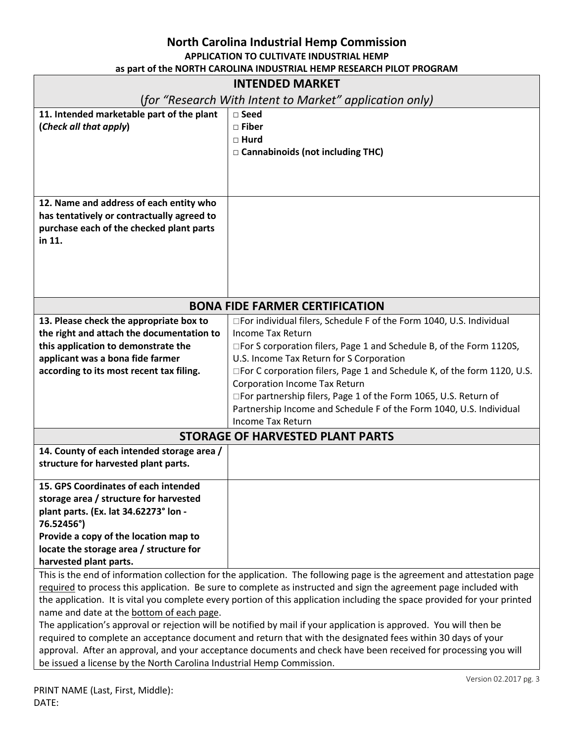| <b>INTENDED MARKET</b>                                                             |                                                                                                                        |
|------------------------------------------------------------------------------------|------------------------------------------------------------------------------------------------------------------------|
| (for "Research With Intent to Market" application only)                            |                                                                                                                        |
| 11. Intended marketable part of the plant                                          | □ Seed                                                                                                                 |
| (Check all that apply)                                                             | □ Fiber                                                                                                                |
|                                                                                    | $\Box$ Hurd                                                                                                            |
|                                                                                    | □ Cannabinoids (not including THC)                                                                                     |
|                                                                                    |                                                                                                                        |
|                                                                                    |                                                                                                                        |
| 12. Name and address of each entity who                                            |                                                                                                                        |
| has tentatively or contractually agreed to                                         |                                                                                                                        |
| purchase each of the checked plant parts                                           |                                                                                                                        |
| in 11.                                                                             |                                                                                                                        |
|                                                                                    |                                                                                                                        |
|                                                                                    |                                                                                                                        |
|                                                                                    |                                                                                                                        |
|                                                                                    |                                                                                                                        |
| <b>BONA FIDE FARMER CERTIFICATION</b>                                              |                                                                                                                        |
| 13. Please check the appropriate box to                                            | □For individual filers, Schedule F of the Form 1040, U.S. Individual                                                   |
| the right and attach the documentation to                                          | <b>Income Tax Return</b>                                                                                               |
| this application to demonstrate the                                                | □For S corporation filers, Page 1 and Schedule B, of the Form 1120S,                                                   |
| applicant was a bona fide farmer                                                   | U.S. Income Tax Return for S Corporation                                                                               |
| according to its most recent tax filing.                                           | □For C corporation filers, Page 1 and Schedule K, of the form 1120, U.S.                                               |
|                                                                                    | <b>Corporation Income Tax Return</b>                                                                                   |
|                                                                                    | □For partnership filers, Page 1 of the Form 1065, U.S. Return of                                                       |
|                                                                                    | Partnership Income and Schedule F of the Form 1040, U.S. Individual                                                    |
|                                                                                    | <b>Income Tax Return</b>                                                                                               |
| <b>STORAGE OF HARVESTED PLANT PARTS</b>                                            |                                                                                                                        |
| 14. County of each intended storage area /<br>structure for harvested plant parts. |                                                                                                                        |
|                                                                                    |                                                                                                                        |
| 15. GPS Coordinates of each intended                                               |                                                                                                                        |
| storage area / structure for harvested                                             |                                                                                                                        |
| plant parts. (Ex. lat 34.62273° lon -                                              |                                                                                                                        |
| 76.52456°)                                                                         |                                                                                                                        |
| Provide a copy of the location map to                                              |                                                                                                                        |
| locate the storage area / structure for                                            |                                                                                                                        |
| harvested plant parts.                                                             |                                                                                                                        |
|                                                                                    | This is the end of information collection for the annication. The following page is the agreement and attestation page |

This is the end of information collection for the application. The following page is the agreement and attestation page required to process this application. Be sure to complete as instructed and sign the agreement page included with the application. It is vital you complete every portion of this application including the space provided for your printed name and date at the bottom of each page.

The application's approval or rejection will be notified by mail if your application is approved. You will then be required to complete an acceptance document and return that with the designated fees within 30 days of your approval. After an approval, and your acceptance documents and check have been received for processing you will be issued a license by the North Carolina Industrial Hemp Commission.